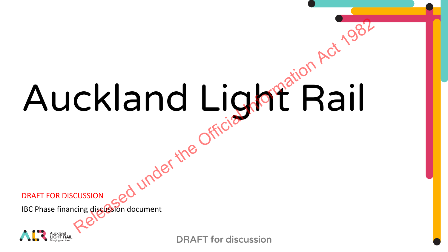# Auckland Light Rail Ckland Light Rail

DRAFT FOR DISCUSSION

IBC Phase financing discussion document



DRAFT for discussion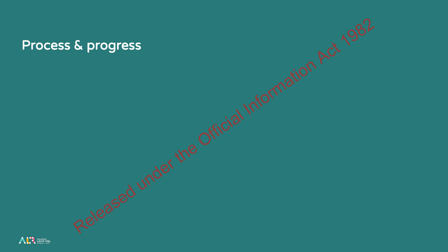

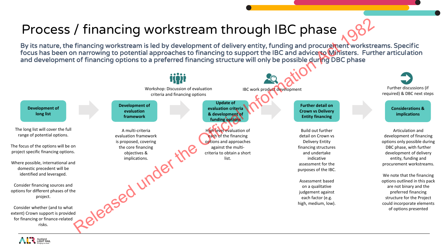# Process / financing workstream through IBC phase

By its nature, the financing workstream is led by development of delivery entity, funding and procurement workstreams. Specific focus has been on narrowing to potential approaches to financing to support the IBC and advice to Ministers. Further articulation and development of financing options to a preferred financing structure will only be possible during DBC phase



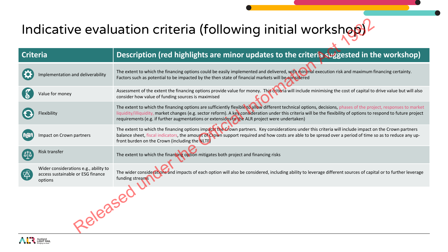# Indicative evaluation criteria (following initial workshop)

| Indicative evaluation criteria (following initial workshop)                                 |                                                                                                                                                                                                                                                                                                                                                                                                                                         |  |  |
|---------------------------------------------------------------------------------------------|-----------------------------------------------------------------------------------------------------------------------------------------------------------------------------------------------------------------------------------------------------------------------------------------------------------------------------------------------------------------------------------------------------------------------------------------|--|--|
| <b>Criteria</b>                                                                             | Description (red highlights are minor updates to the criteria suggested in the workshop)                                                                                                                                                                                                                                                                                                                                                |  |  |
| mplementation and deliverability                                                            | The extent to which the financing options could be easily implemented and delivered, with minimal execution risk and maximum financing certainty.<br>Factors such as potential to be impacted by the then state of financial markets will be considered                                                                                                                                                                                 |  |  |
| Value for money                                                                             | Assessment of the extent the financing options provide value for money. This criteria will include minimising the cost of capital to drive value but will also<br>consider how value of funding sources is maximised                                                                                                                                                                                                                    |  |  |
| Flexibility                                                                                 | The extent to which the financing options are sufficiently flexible to allow different technical options, decisions, phases of the project, responses to market<br>liquidity/illiquidity, market changes (e.g. sector reform). A key consideration under this criteria will be the flexibility of options to respond to future project<br>requirements (e.g. if further augmentations or extensions to the ALR project were undertaken) |  |  |
| Impact on Crown partners                                                                    | The extent to which the financing options impacts the Crown partners. Key considerations under this criteria will include impact on the Crown partners<br>balance sheet, fiscal indicators, the amount of Crown support required and how costs are able to be spread over a period of time so as to reduce any up-<br>front burden on the Crown (including the NLTF)                                                                    |  |  |
| Risk transfer<br>$\Phi$                                                                     | The extent to which the financing option mitigates both project and financing risks                                                                                                                                                                                                                                                                                                                                                     |  |  |
| Wider considerations e.g., ability to<br>【公<br>access sustainable or ESG finance<br>options | The wider considerations and impacts of each option will also be considered, including ability to leverage different sources of capital or to further leverage<br>funding streams                                                                                                                                                                                                                                                       |  |  |
| <b>-8182580</b>                                                                             |                                                                                                                                                                                                                                                                                                                                                                                                                                         |  |  |

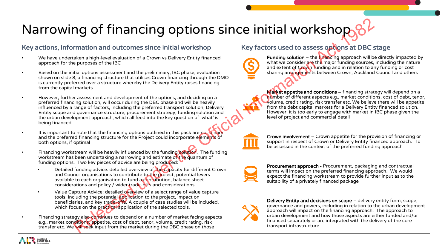# Narrowing of financing options since initial workshop,

### Key actions, information and outcomes since initial workshop Key factors used to assess options at DBC stage

- We have undertaken a high-level evaluation of a Crown vs Delivery Entity financed approach for the purposes of the IBC
- Based on the initial options assessment and the preliminary, IBC phase, evaluation shown on slide 8, a financing structure that utilises Crown financing through the DMO is currently preferred over a structure whereby the Delivery Entity raises financing from the capital markets
- However, further assessment and development of the options, and deciding on a preferred financing solution, will occur during the DBC phase and will be heavily influenced by a range of factors, including the preferred transport solution, Delivery Entity scope and governance structure, procurement strategy, funding solution and the urban development approach, which all feed into the key question of 'what' is being financed **CONSERVER THE CONSERVER THE CONSERVER THE CONSERVER THE CONSERVER THE CONSERVER THE CONSERVER THE CONSERVER THE CONSERVER THE CONSERVER THE CONSERVER THE CONSERVER THE CONSERVER THE CONSERVER THE CONSERVER THE CONSERVER**
- It is important to note that the financing options outlined in this pack are not binary and the preferred financing structure for the Project could incorporate elements of both options, if optimal
- Financing workstream will be heavily influenced by the funding solution. The funding workstream has been undertaking a narrowing and estimate of the quantum of funding options. Two key pieces of advice are being produced:
	- Detailed funding advice: detailed overview of the capacity for different Crown and Council organisations to contribute to the project, potential levers available to each organisation to fund a contribution, balance sheet considerations and policy / wider trade-offs and considerations.
	- Value Capture Advice: detailed overview of a select range of value capture tools, including the potential application to the project, impact on beneficiaries, and key trade-offs. A couple of case studies will be included, which focus on the practical application of the selected tools.

• Financing strategy also continues to depend on a number of market facing aspects e.g., market conditions, appetite, cost of debt, tenor, volume, credit rating, risk transfer etc. We will seek input from the market during the DBC phase on those



Funding solution – the financing approach will be directly impacted by what we consider are the major funding sources, including the nature and extent of Crown funding and in relation to any funding or cost sharing arrangements between Crown, Auckland Council and others

Market appetite and conditions – financing strategy will depend on a number of different aspects e.g., market conditions, cost of debt, tenor, volume, credit rating, risk transfer etc. We believe there will be appetite from the debt capital markets for a Delivery Entity financed solution. However, it is too early to engage with market in IBC phase given the level of project and commercial detail



Crown involvement – Crown appetite for the provision of financing or support in respect of Crown or Delivery Entity financed approach. To be assessed in the context of the preferred funding approach



Procurement approach - Procurement, packaging and contractual terms will impact on the preferred financing approach. We would expect the financing workstream to provide further input as to the suitability of a privately financed package



Delivery Entity and decisions on scope – delivery entity form, scope, governance and powers, including in relation to the urban development approach will impact on the financing approach. The approach to urban development and how those aspects are either funded and/or financed separately or are integrated with the delivery of the core transport infrastructure

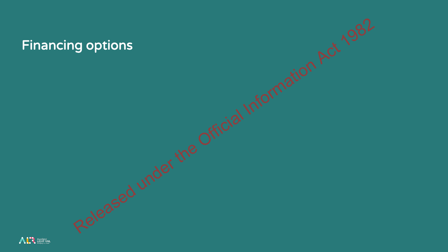

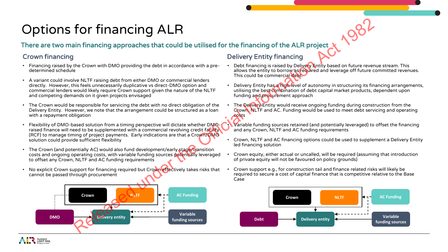# Options for financing ALR

### There are two main financing approaches that could be utilised for the financing of the ALR project

- Financing raised by the Crown with DMO providing the debt in accordance with a predetermined schedule
- A variant could involve NLTF raising debt from either DMO or commercial lenders directly. However, this feels unnecessarily duplicative vs direct-DMO option and commercial lenders would likely require Crown support given the nature of the NLTF and competing demands on it given projects envisaged
- The Crown would be responsible for servicing the debt with no direct obligation of the Delivery Entity. However, we note that the arrangement could be structured as a loan with a repayment obligation
- Flexibility of DMO-based solution from a timing perspective will dictate whether DMOraised finance will need to be supplemented with a commercial revolving credit facility (RCF) to manage timing of project payments. Early indications are that a Crown/DMO solution could provide sufficient flexibility
- The Crown (and potentially AC) would also fund development/early stage/transition costs and ongoing operating costs, with variable funding sources potentially leveraged to offset any Crown, NLTF and AC funding requirements
- No explicit Crown support for financing required but Crown effectively takes risks that cannot be passed through procurement



### Crown financing Delivery Entity financing

- Debt financing is raised by Delivery Entity based on future revenue stream. This allows the entity to borrow as required and leverage off future committed revenues. This could be commercial debt.
- Delivery Entity has a high level of autonomy in structuring its financing arrangements, utilising the best combination of debt capital market products, dependent upon funding and procurement approach
- The Delivery Entity would receive ongoing funding during construction from the Crown, NLTF and AC. Funding would be used to meet debt servicing and operating costs
- Variable funding sources retained (and potentially leveraged) to offset the financing and any Crown, NLTF and AC funding requirements
- Crown, NLTF and AC financing options could be used to supplement a Delivery Entity led financing solution
- Crown equity, either actual or uncalled, will be required (assuming that introduction of private equity will not be favoured on policy grounds)
- Crown support e.g., for construction tail and finance related risks will likely be required to secure a cost of capital finance that is competitive relative to the Base Case

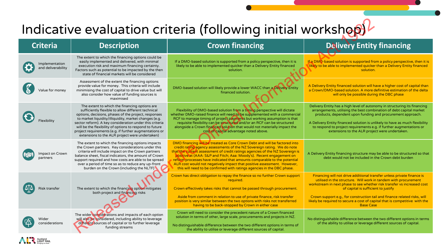## Indicative evaluation criteria (following initial workshop)

Auckland<br>LIGHT RAIL

| Indicative evaluation criteria (following initial workshop) |                                                                                                                                                                                                                                                                                                                                                                                                                                                        |                                                                                                                                                                                                                                                                                                                                                                                                                                                                                                                                                 |                                                                                                                                                                                                                                                                                                                                                                                                                                             |  |
|-------------------------------------------------------------|--------------------------------------------------------------------------------------------------------------------------------------------------------------------------------------------------------------------------------------------------------------------------------------------------------------------------------------------------------------------------------------------------------------------------------------------------------|-------------------------------------------------------------------------------------------------------------------------------------------------------------------------------------------------------------------------------------------------------------------------------------------------------------------------------------------------------------------------------------------------------------------------------------------------------------------------------------------------------------------------------------------------|---------------------------------------------------------------------------------------------------------------------------------------------------------------------------------------------------------------------------------------------------------------------------------------------------------------------------------------------------------------------------------------------------------------------------------------------|--|
| <b>Criteria</b>                                             | <b>Description</b>                                                                                                                                                                                                                                                                                                                                                                                                                                     | <b>Crown financing</b>                                                                                                                                                                                                                                                                                                                                                                                                                                                                                                                          | <b>Delivery Entity financing</b>                                                                                                                                                                                                                                                                                                                                                                                                            |  |
| Implementation<br>and deliverability                        | The extent to which the financing options could be<br>easily implemented and delivered, with minimal<br>execution risk and maximum financing certainty.<br>Factors such as potential to be impacted by the then<br>state of financial markets will be considered                                                                                                                                                                                       | If a DMO-based solution is supported from a policy perspective, then it is<br>likely to be able to implemented quicker than a Delivery Entity financed<br>solution.                                                                                                                                                                                                                                                                                                                                                                             | If a DMO-based solution is supported from a policy perspective, then it is<br>likely to be able to implemented quicker than a Delivery Entity financed<br>solution.                                                                                                                                                                                                                                                                         |  |
| alue for monev                                              | Assessment of the extent the financing options<br>provide value for money. This criteria will include<br>minimising the cost of capital to drive value but will<br>also consider how value of funding sources is<br>maximised                                                                                                                                                                                                                          | DMO-based solution will likely provide a lower WACC than a Delivery Entity<br>financed solution.                                                                                                                                                                                                                                                                                                                                                                                                                                                | A Delivery Entity financed solution will have a higher cost of capital than<br>a Crown/DMO-based solution. A more definitive estimation of the delta<br>will only be possible during the DBC phase                                                                                                                                                                                                                                          |  |
|                                                             | The extent to which the financing options are<br>sufficiently flexible to allow different technical<br>options, decisions, phases of the project, responses<br>to market liquidity/illiquidity, market changes (e.g.<br>sector reform). A key consideration under this criteria<br>will be the flexibility of options to respond to future<br>project requirements (e.g. if further augmentations or<br>extensions to the ALR project were undertaken) | Flexibility of DMO-based solution from a timing perspective will dictate<br>whether DMO-raised finance will need to be supplemented with a commercial<br>RCF to manage timing of project payments but working assumption is that<br>requisite flexibility can be structured and/or an RCF can be structured<br>alongside a Crown financed solution that would not materially impact the<br>cost of capital advantage noted above.                                                                                                               | Delivery Entity has a high level of autonomy in structuring its financing<br>arrangements, utilising the best combination of debt capital market<br>products, dependent upon funding and procurement approach.<br>A Delivery Entity financed solution is unlikely to have as much flexibility<br>to respond to project requirements e.g. if further augmentations or<br>extensions to the ALR project were undertaken.                      |  |
| Impact on Crown<br>partners                                 | The extent to which the financing options impacts<br>the Crown partners. Key considerations under this<br>criteria will include impact on the Crown partners<br>balance sheet, fiscal indicators, the amount of Crown<br>support required and how costs are able to be spread<br>over a period of time so as to reduce any up-front<br>burden on the Crown (including the NLTF)                                                                        | DMO financing will be treated as Core Crown Debt and will be factored into<br>credit rating agency assessments of the NZ Sovereign rating. We do note<br>that the current assessment of credit ratings agencies of the NZ Sovereign is<br>positive at (AAA: S&P and Fitch; Aaa: Moody's). Recent engagement on<br>reform processes have indicated that amounts comparable to the potential<br>ALR cost would not negatively impact that positive assessment. However,<br>this will need to be confirmed with ratings agencies in the DBC phase. | A Delivery Entity financing structure may be able to be structured so that<br>debt would not be included in the Crown debt burden                                                                                                                                                                                                                                                                                                           |  |
| isk transfer                                                | The extent to which the financing option mitigates<br>both project and financing risks                                                                                                                                                                                                                                                                                                                                                                 | Crown has direct obligation to repay the finance so no further Crown support<br>required.<br>Crown effectively takes risks that cannot be passed through procurement.<br>Aside from comment in relation to use of private finance, risk transfer<br>position is very similar between the two options with risks not transferred<br>having to be back-stopped by Crown in either case                                                                                                                                                            | Financing will not drive additional transfer unless private finance is<br>utilised in the structure. Will work in tandem with procurement<br>workstream in next phase to see whether risk transfer vs increased cost<br>of capital is sufficient to justify<br>Crown support e.g., for construction tail and finance related risks, will<br>likely be required to secure a cost of capital that is competitive with the<br><b>Base Case</b> |  |
| Wider<br>considerations                                     | The wider considerations and impacts of each option<br>will also be considered, including ability to leverage<br>different sources of capital or to further leverage<br>funding streams                                                                                                                                                                                                                                                                | Crown will need to consider the precedent nature of a Crown financed<br>solution in terms of other, large scale, procurements and projects in NZ.<br>No distinguishable difference between the two different options in terms of<br>the ability to utilise or leverage different sources of capital.                                                                                                                                                                                                                                            | No distinguishable difference between the two different options in terms<br>of the ability to utilise or leverage different sources of capital.                                                                                                                                                                                                                                                                                             |  |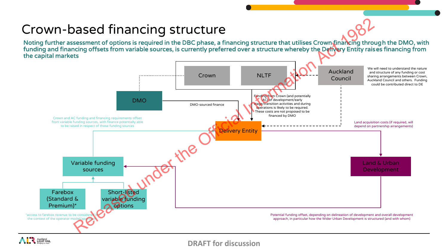# Crown-based financing structure

Noting further assessment of options is required in the DBC phase, a financing structure that utilises Crown financing through the DMO, with funding and financing offsets from variable sources, is currently preferred over a structure whereby the Delivery Entity raises financing from the capital markets



**DRAFT for discussion**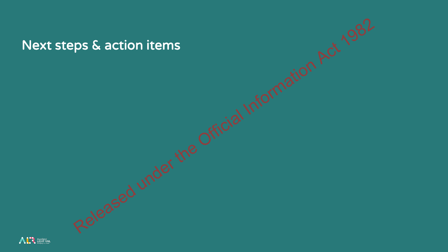# Next steps & action items Released under the Official Information Act 1982

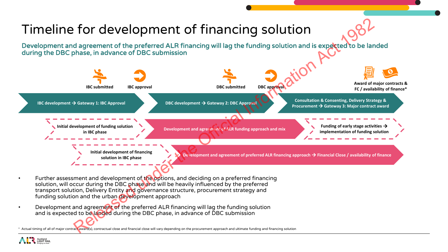